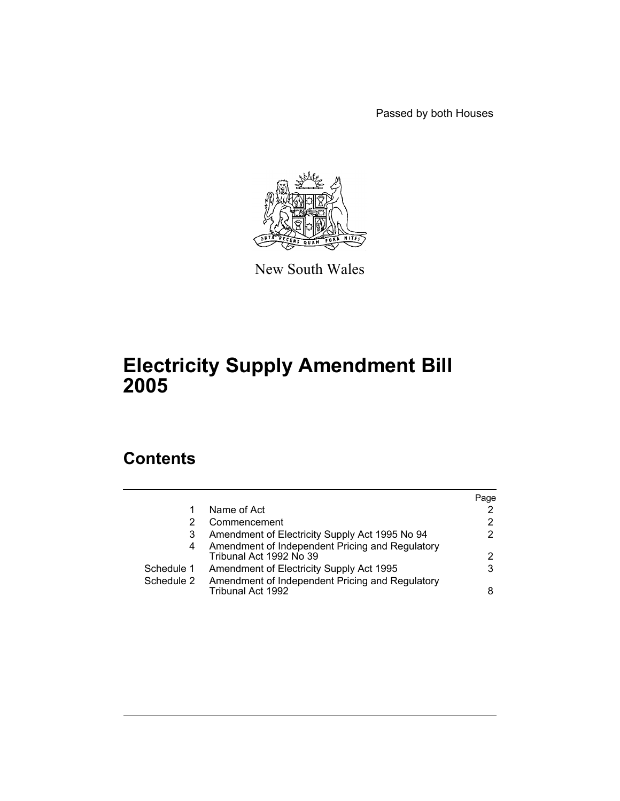Passed by both Houses



New South Wales

# **Electricity Supply Amendment Bill 2005**

## **Contents**

|            |                                                                            | Page |
|------------|----------------------------------------------------------------------------|------|
|            | Name of Act                                                                |      |
|            | Commencement                                                               |      |
| 3          | Amendment of Electricity Supply Act 1995 No 94                             |      |
| 4          | Amendment of Independent Pricing and Regulatory<br>Tribunal Act 1992 No 39 |      |
| Schedule 1 | Amendment of Electricity Supply Act 1995                                   | 3    |
| Schedule 2 | Amendment of Independent Pricing and Regulatory<br>Tribunal Act 1992       | 8    |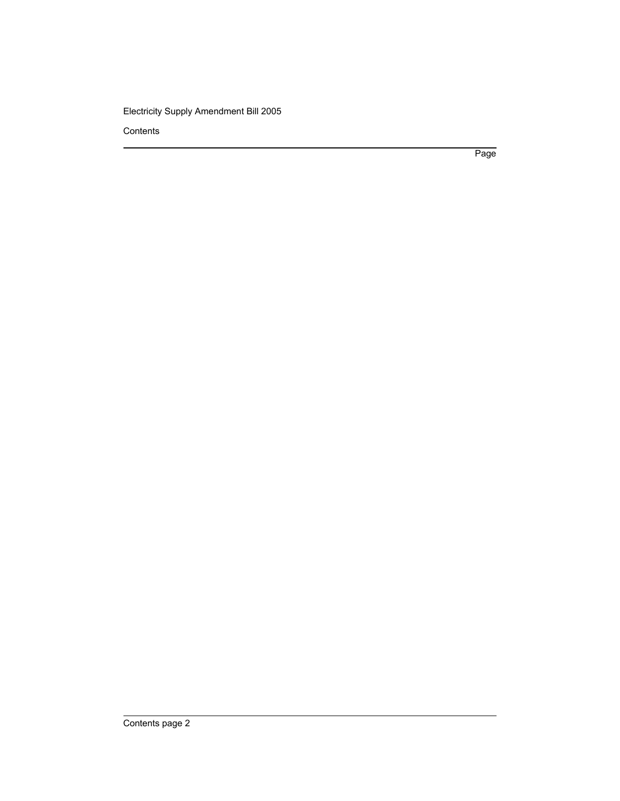**Contents** 

Page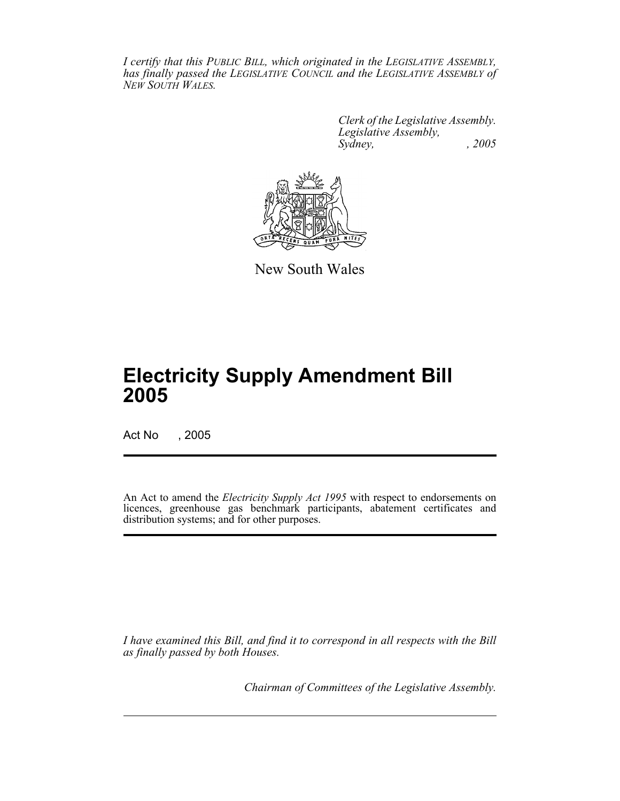*I certify that this PUBLIC BILL, which originated in the LEGISLATIVE ASSEMBLY, has finally passed the LEGISLATIVE COUNCIL and the LEGISLATIVE ASSEMBLY of NEW SOUTH WALES.*

> *Clerk of the Legislative Assembly. Legislative Assembly, Sydney, , 2005*



New South Wales

## **Electricity Supply Amendment Bill 2005**

Act No , 2005

An Act to amend the *Electricity Supply Act 1995* with respect to endorsements on licences, greenhouse gas benchmark participants, abatement certificates and distribution systems; and for other purposes.

*I have examined this Bill, and find it to correspond in all respects with the Bill as finally passed by both Houses.*

*Chairman of Committees of the Legislative Assembly.*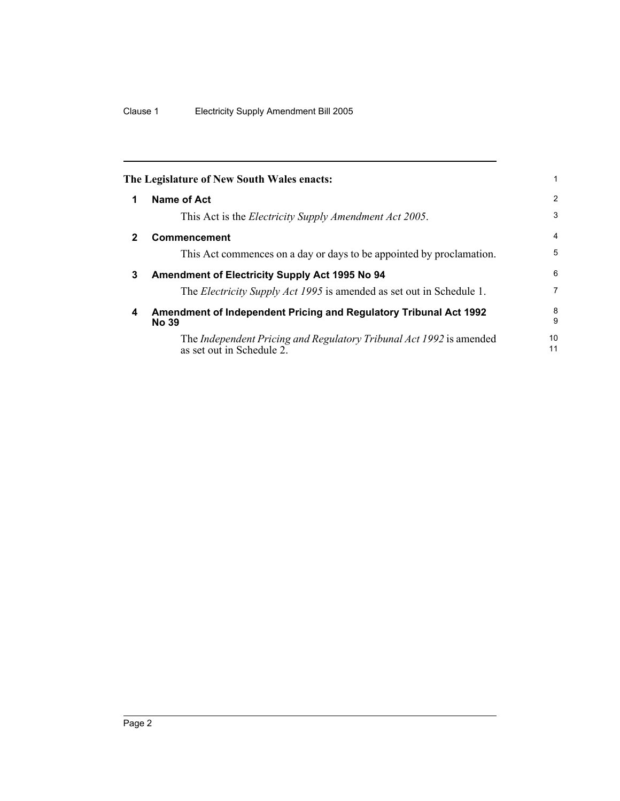| <b>Name of Act</b>                                                                               | $\overline{2}$                             |
|--------------------------------------------------------------------------------------------------|--------------------------------------------|
| This Act is the <i>Electricity Supply Amendment Act 2005</i> .                                   | 3                                          |
| <b>Commencement</b>                                                                              | $\overline{4}$                             |
| This Act commences on a day or days to be appointed by proclamation.                             | 5                                          |
| Amendment of Electricity Supply Act 1995 No 94                                                   | 6                                          |
| The <i>Electricity Supply Act 1995</i> is amended as set out in Schedule 1.                      | 7                                          |
| Amendment of Independent Pricing and Regulatory Tribunal Act 1992<br><b>No 39</b>                | $\begin{array}{c} 8 \\ 9 \end{array}$      |
| The Independent Pricing and Regulatory Tribunal Act 1992 is amended<br>as set out in Schedule 2. | 10<br>11                                   |
|                                                                                                  | The Legislature of New South Wales enacts: |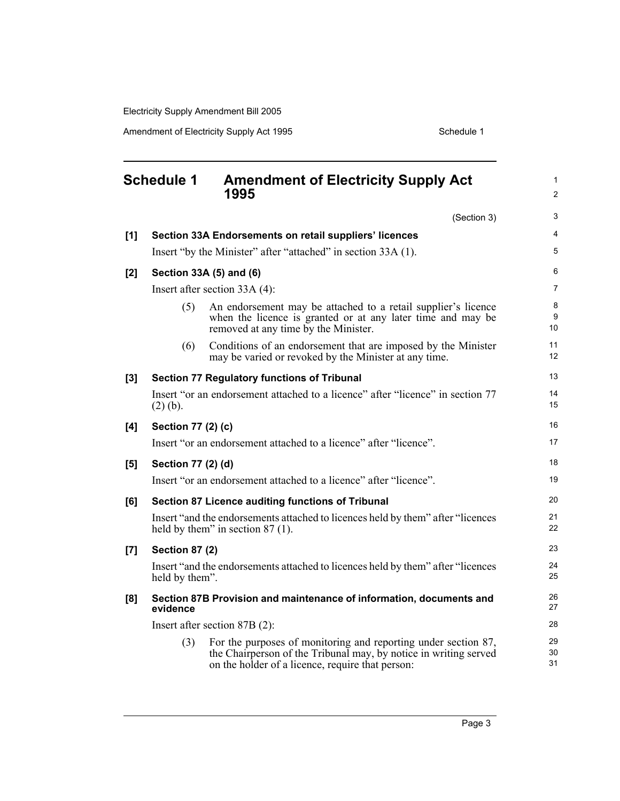Amendment of Electricity Supply Act 1995 Schedule 1

|     | <b>Schedule 1</b>                                                                                                     | <b>Amendment of Electricity Supply Act</b><br>1995                                                                                                                                     | $\mathbf{1}$<br>$\overline{2}$ |  |  |  |
|-----|-----------------------------------------------------------------------------------------------------------------------|----------------------------------------------------------------------------------------------------------------------------------------------------------------------------------------|--------------------------------|--|--|--|
|     |                                                                                                                       | (Section 3)                                                                                                                                                                            | 3                              |  |  |  |
| [1] |                                                                                                                       | Section 33A Endorsements on retail suppliers' licences                                                                                                                                 | $\overline{4}$                 |  |  |  |
|     |                                                                                                                       | Insert "by the Minister" after "attached" in section 33A (1).                                                                                                                          | 5                              |  |  |  |
| [2] |                                                                                                                       | Section 33A (5) and (6)                                                                                                                                                                | 6                              |  |  |  |
|     |                                                                                                                       | Insert after section $33A(4)$ :                                                                                                                                                        | 7                              |  |  |  |
|     | (5)                                                                                                                   | An endorsement may be attached to a retail supplier's licence<br>when the licence is granted or at any later time and may be<br>removed at any time by the Minister.                   | 8<br>9<br>10                   |  |  |  |
|     | (6)                                                                                                                   | Conditions of an endorsement that are imposed by the Minister<br>may be varied or revoked by the Minister at any time.                                                                 | 11<br>12                       |  |  |  |
| [3] | <b>Section 77 Regulatory functions of Tribunal</b>                                                                    |                                                                                                                                                                                        |                                |  |  |  |
|     | $(2)$ (b).                                                                                                            | Insert "or an endorsement attached to a licence" after "licence" in section 77                                                                                                         | 14<br>15                       |  |  |  |
| [4] | Section 77 (2) (c)                                                                                                    |                                                                                                                                                                                        | 16                             |  |  |  |
|     |                                                                                                                       | Insert "or an endorsement attached to a licence" after "licence".                                                                                                                      | 17                             |  |  |  |
| [5] | Section 77 (2) (d)                                                                                                    |                                                                                                                                                                                        |                                |  |  |  |
|     |                                                                                                                       | Insert "or an endorsement attached to a licence" after "licence".                                                                                                                      | 19                             |  |  |  |
| [6] | Section 87 Licence auditing functions of Tribunal                                                                     |                                                                                                                                                                                        |                                |  |  |  |
|     | Insert "and the endorsements attached to licences held by them" after "licences<br>held by them" in section $87(1)$ . |                                                                                                                                                                                        |                                |  |  |  |
| [7] | <b>Section 87 (2)</b>                                                                                                 |                                                                                                                                                                                        | 23                             |  |  |  |
|     | Insert "and the endorsements attached to licences held by them" after "licences<br>held by them".                     |                                                                                                                                                                                        |                                |  |  |  |
| [8] | evidence                                                                                                              | Section 87B Provision and maintenance of information, documents and                                                                                                                    | 26<br>27                       |  |  |  |
|     | Insert after section 87B (2):                                                                                         |                                                                                                                                                                                        |                                |  |  |  |
|     | (3)                                                                                                                   | For the purposes of monitoring and reporting under section 87,<br>the Chairperson of the Tribunal may, by notice in writing served<br>on the holder of a licence, require that person: | 29<br>30<br>31                 |  |  |  |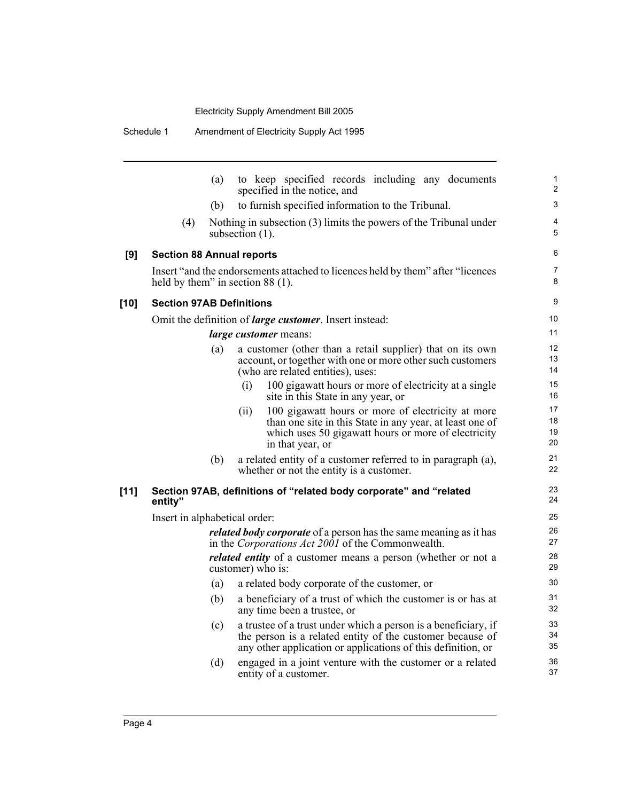Schedule 1 Amendment of Electricity Supply Act 1995

|        |                                                                                                                                      | (a) | to keep specified records including any documents<br>specified in the notice, and                                                                                                                | $\mathbf{1}$<br>2    |  |
|--------|--------------------------------------------------------------------------------------------------------------------------------------|-----|--------------------------------------------------------------------------------------------------------------------------------------------------------------------------------------------------|----------------------|--|
|        |                                                                                                                                      | (b) | to furnish specified information to the Tribunal.                                                                                                                                                | 3                    |  |
|        | (4)                                                                                                                                  |     | Nothing in subsection (3) limits the powers of the Tribunal under<br>subsection $(1)$ .                                                                                                          | 4<br>5               |  |
| [9]    | <b>Section 88 Annual reports</b>                                                                                                     |     |                                                                                                                                                                                                  | 6                    |  |
|        |                                                                                                                                      |     | Insert "and the endorsements attached to licences held by them" after "licences<br>held by them" in section $88(1)$ .                                                                            | $\overline{7}$<br>8  |  |
| $[10]$ | <b>Section 97AB Definitions</b>                                                                                                      |     |                                                                                                                                                                                                  | 9                    |  |
|        |                                                                                                                                      |     | Omit the definition of <i>large customer</i> . Insert instead:                                                                                                                                   | 10                   |  |
|        |                                                                                                                                      |     | <i>large customer</i> means:                                                                                                                                                                     | 11                   |  |
|        |                                                                                                                                      | (a) | a customer (other than a retail supplier) that on its own<br>account, or together with one or more other such customers<br>(who are related entities), uses:                                     | 12<br>13<br>14       |  |
|        |                                                                                                                                      |     | 100 gigawatt hours or more of electricity at a single<br>(i)<br>site in this State in any year, or                                                                                               | 15<br>16             |  |
|        |                                                                                                                                      |     | 100 gigawatt hours or more of electricity at more<br>(ii)<br>than one site in this State in any year, at least one of<br>which uses 50 gigawatt hours or more of electricity<br>in that year, or | 17<br>18<br>19<br>20 |  |
|        |                                                                                                                                      | (b) | a related entity of a customer referred to in paragraph (a),<br>whether or not the entity is a customer.                                                                                         | 21<br>22             |  |
| $[11]$ | entity"                                                                                                                              |     | Section 97AB, definitions of "related body corporate" and "related                                                                                                                               | 23<br>24             |  |
|        | Insert in alphabetical order:                                                                                                        |     |                                                                                                                                                                                                  |                      |  |
|        | <i>related body corporate</i> of a person has the same meaning as it has<br>in the <i>Corporations Act 2001</i> of the Commonwealth. |     |                                                                                                                                                                                                  |                      |  |
|        | <i>related entity</i> of a customer means a person (whether or not a<br>customer) who is:                                            |     |                                                                                                                                                                                                  |                      |  |
|        |                                                                                                                                      | (a) | a related body corporate of the customer, or                                                                                                                                                     | 30                   |  |
|        |                                                                                                                                      | (b) | a beneficiary of a trust of which the customer is or has at<br>any time been a trustee, or                                                                                                       | 31<br>32             |  |
|        |                                                                                                                                      | (c) | a trustee of a trust under which a person is a beneficiary, if<br>the person is a related entity of the customer because of<br>any other application or applications of this definition, or      | 33<br>34<br>35       |  |
|        |                                                                                                                                      | (d) | engaged in a joint venture with the customer or a related<br>entity of a customer.                                                                                                               | 36<br>37             |  |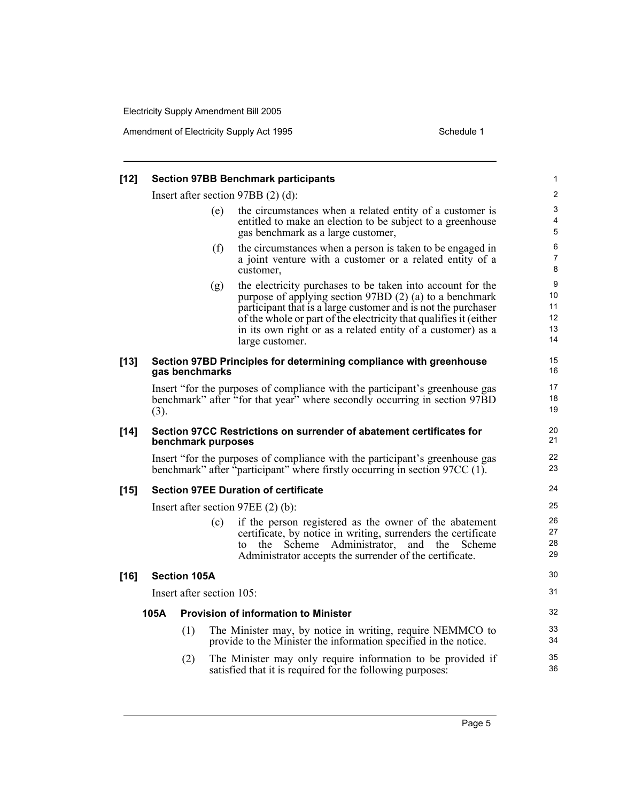| Schedule 1 |  |
|------------|--|
|            |  |

| $[12]$ |                                         |                           |     | <b>Section 97BB Benchmark participants</b>                                                                                                                                                                                                                                                                                                    | 1                               |  |
|--------|-----------------------------------------|---------------------------|-----|-----------------------------------------------------------------------------------------------------------------------------------------------------------------------------------------------------------------------------------------------------------------------------------------------------------------------------------------------|---------------------------------|--|
|        | Insert after section 97BB $(2)$ $(d)$ : |                           |     |                                                                                                                                                                                                                                                                                                                                               |                                 |  |
|        |                                         |                           | (e) | the circumstances when a related entity of a customer is<br>entitled to make an election to be subject to a greenhouse<br>gas benchmark as a large customer,                                                                                                                                                                                  | 3<br>4<br>5                     |  |
|        |                                         |                           | (f) | the circumstances when a person is taken to be engaged in<br>a joint venture with a customer or a related entity of a<br>customer.                                                                                                                                                                                                            | 6<br>$\overline{7}$<br>8        |  |
|        |                                         |                           | (g) | the electricity purchases to be taken into account for the<br>purpose of applying section 97BD (2) (a) to a benchmark<br>participant that is a large customer and is not the purchaser<br>of the whole or part of the electricity that qualifies it (either<br>in its own right or as a related entity of a customer) as a<br>large customer. | 9<br>10<br>11<br>12<br>13<br>14 |  |
| $[13]$ |                                         | gas benchmarks            |     | Section 97BD Principles for determining compliance with greenhouse                                                                                                                                                                                                                                                                            | 15<br>16                        |  |
|        | (3).                                    |                           |     | Insert "for the purposes of compliance with the participant's greenhouse gas<br>benchmark" after "for that year" where secondly occurring in section 97BD                                                                                                                                                                                     | 17<br>18<br>19                  |  |
| $[14]$ |                                         | benchmark purposes        |     | Section 97CC Restrictions on surrender of abatement certificates for                                                                                                                                                                                                                                                                          | 20<br>21                        |  |
|        |                                         |                           |     | Insert "for the purposes of compliance with the participant's greenhouse gas<br>benchmark" after "participant" where firstly occurring in section 97CC (1).                                                                                                                                                                                   | 22<br>23                        |  |
| $[15]$ |                                         |                           |     | <b>Section 97EE Duration of certificate</b>                                                                                                                                                                                                                                                                                                   | 24                              |  |
|        |                                         |                           |     | Insert after section 97EE $(2)$ (b):                                                                                                                                                                                                                                                                                                          | 25                              |  |
|        |                                         |                           | (c) | if the person registered as the owner of the abatement<br>certificate, by notice in writing, surrenders the certificate<br>the Scheme Administrator, and the<br>to<br>Scheme<br>Administrator accepts the surrender of the certificate.                                                                                                       | 26<br>27<br>28<br>29            |  |
| $[16]$ |                                         | <b>Section 105A</b>       |     |                                                                                                                                                                                                                                                                                                                                               | 30                              |  |
|        |                                         | Insert after section 105: |     |                                                                                                                                                                                                                                                                                                                                               |                                 |  |
|        | 105A                                    |                           |     | <b>Provision of information to Minister</b>                                                                                                                                                                                                                                                                                                   | 32                              |  |
|        |                                         | (1)                       |     | The Minister may, by notice in writing, require NEMMCO to<br>provide to the Minister the information specified in the notice.                                                                                                                                                                                                                 | 33<br>34                        |  |
|        |                                         | (2)                       |     | The Minister may only require information to be provided if<br>satisfied that it is required for the following purposes:                                                                                                                                                                                                                      | 35<br>36                        |  |
|        |                                         |                           |     |                                                                                                                                                                                                                                                                                                                                               |                                 |  |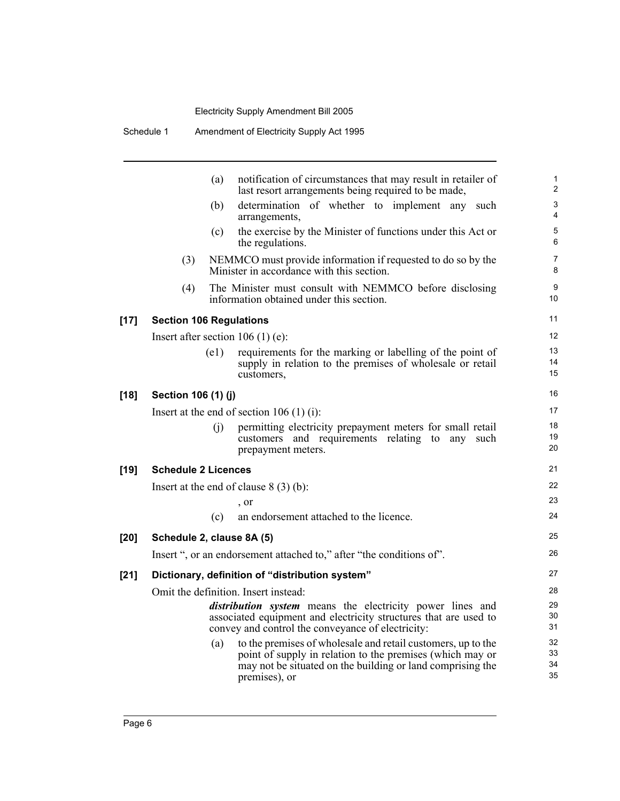Schedule 1 Amendment of Electricity Supply Act 1995

|        |                                                                                                                                                                                    | (a)  | notification of circumstances that may result in retailer of<br>last resort arrangements being required to be made,                                                                                      | $\mathbf{1}$<br>$\overline{c}$ |  |
|--------|------------------------------------------------------------------------------------------------------------------------------------------------------------------------------------|------|----------------------------------------------------------------------------------------------------------------------------------------------------------------------------------------------------------|--------------------------------|--|
|        |                                                                                                                                                                                    | (b)  | determination of whether to implement any such<br>arrangements,                                                                                                                                          | 3<br>4                         |  |
|        |                                                                                                                                                                                    | (c)  | the exercise by the Minister of functions under this Act or<br>the regulations.                                                                                                                          | 5<br>6                         |  |
|        | (3)                                                                                                                                                                                |      | NEMMCO must provide information if requested to do so by the<br>Minister in accordance with this section.                                                                                                | $\overline{7}$<br>8            |  |
|        | (4)                                                                                                                                                                                |      | The Minister must consult with NEMMCO before disclosing<br>information obtained under this section.                                                                                                      | 9<br>10                        |  |
| $[17]$ | <b>Section 106 Regulations</b>                                                                                                                                                     |      |                                                                                                                                                                                                          | 11                             |  |
|        |                                                                                                                                                                                    |      | Insert after section $106(1)$ (e):                                                                                                                                                                       | 12                             |  |
|        |                                                                                                                                                                                    | (e1) | requirements for the marking or labelling of the point of<br>supply in relation to the premises of wholesale or retail<br>customers,                                                                     | 13<br>14<br>15                 |  |
| $[18]$ | Section 106 (1) (j)                                                                                                                                                                |      |                                                                                                                                                                                                          | 16                             |  |
|        | Insert at the end of section $106(1)(i)$ :                                                                                                                                         |      |                                                                                                                                                                                                          |                                |  |
|        |                                                                                                                                                                                    | (i)  | permitting electricity prepayment meters for small retail<br>customers and requirements relating to<br>any such<br>prepayment meters.                                                                    | 18<br>19<br>20                 |  |
| $[19]$ | <b>Schedule 2 Licences</b>                                                                                                                                                         |      |                                                                                                                                                                                                          | 21                             |  |
|        |                                                                                                                                                                                    |      | Insert at the end of clause $8(3)(b)$ :                                                                                                                                                                  | 22                             |  |
|        |                                                                                                                                                                                    |      | , or                                                                                                                                                                                                     | 23                             |  |
|        |                                                                                                                                                                                    | (c)  | an endorsement attached to the licence.                                                                                                                                                                  | 24                             |  |
| $[20]$ | Schedule 2, clause 8A (5)                                                                                                                                                          |      |                                                                                                                                                                                                          | 25                             |  |
|        | Insert ", or an endorsement attached to," after "the conditions of".                                                                                                               |      |                                                                                                                                                                                                          |                                |  |
| $[21]$ |                                                                                                                                                                                    |      | Dictionary, definition of "distribution system"                                                                                                                                                          | 27                             |  |
|        |                                                                                                                                                                                    |      | Omit the definition. Insert instead:                                                                                                                                                                     | 28                             |  |
|        | distribution system means the electricity power lines and<br>associated equipment and electricity structures that are used to<br>convey and control the conveyance of electricity: |      |                                                                                                                                                                                                          | 29<br>30<br>31                 |  |
|        |                                                                                                                                                                                    | (a)  | to the premises of wholesale and retail customers, up to the<br>point of supply in relation to the premises (which may or<br>may not be situated on the building or land comprising the<br>premises), or | 32<br>33<br>34<br>35           |  |
|        |                                                                                                                                                                                    |      |                                                                                                                                                                                                          |                                |  |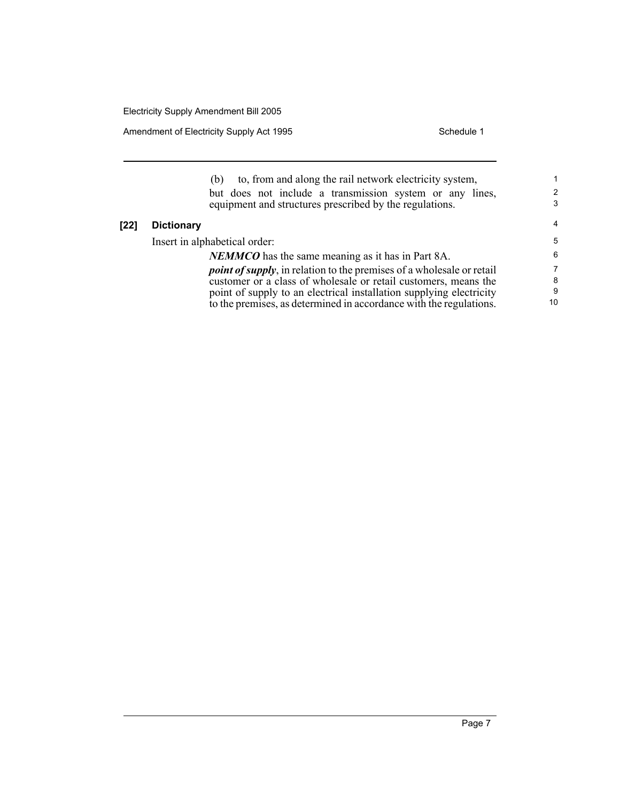Amendment of Electricity Supply Act 1995 Schedule 1

|        | to, from and along the rail network electricity system,<br>(b)                |                |  |  |
|--------|-------------------------------------------------------------------------------|----------------|--|--|
|        | but does not include a transmission system or any lines,                      | $\mathcal{P}$  |  |  |
|        | equipment and structures prescribed by the regulations.                       | 3              |  |  |
| $[22]$ | <b>Dictionary</b>                                                             | $\overline{4}$ |  |  |
|        | Insert in alphabetical order:                                                 |                |  |  |
|        | <b>NEMMCO</b> has the same meaning as it has in Part 8A.                      | 6              |  |  |
|        | <i>point of supply</i> , in relation to the premises of a wholesale or retail | 7              |  |  |
|        | customer or a class of wholesale or retail customers, means the               | 8              |  |  |
|        | point of supply to an electrical installation supplying electricity           | 9              |  |  |
|        | to the premises, as determined in accordance with the regulations.            | 10             |  |  |
|        |                                                                               |                |  |  |